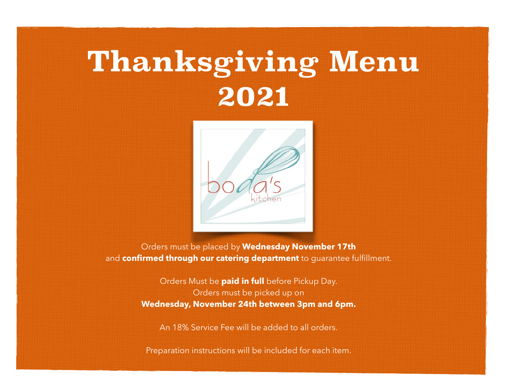# **Thanksgiving Menu 2021**



Orders must be placed by **Wednesday November 17th**  and **confirmed through our catering department** to guarantee fulfillment.

> Orders Must be **paid in full** before Pickup Day. Orders must be picked up on **Wednesday, November 24th between 3pm and 6pm.**

An 18% Service Fee will be added to all orders.

Preparation instructions will be included for each item.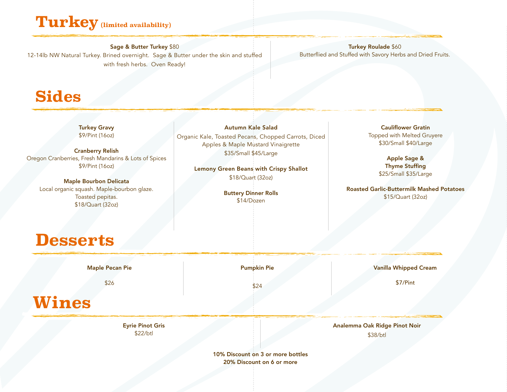### **Turkey (limited availability)**

Sage & Butter Turkey \$80 12-14lb NW Natural Turkey. Brined overnight. Sage & Butter under the skin and stuffed with fresh herbs. Oven Ready!

Turkey Roulade \$60 Butterflied and Stuffed with Savory Herbs and Dried Fruits.

#### **Sides**

Turkey Gravy \$9/Pint (16oz)

Cranberry Relish Oregon Cranberries, Fresh Mandarins & Lots of Spices \$9/Pint (16oz)

Maple Bourbon Delicata Local organic squash. Maple-bourbon glaze. Toasted pepitas. \$18/Quart (32oz)

Autumn Kale Salad Organic Kale, Toasted Pecans, Chopped Carrots, Diced Apples & Maple Mustard Vinaigrette \$35/Small \$45/Large

> Lemony Green Beans with Crispy Shallot \$18/Quart (32oz)

> > Buttery Dinner Rolls \$14/Dozen

Cauliflower Gratin Topped with Melted Gruyere \$30/Small \$40/Large

> Apple Sage & Thyme Stuffing \$25/Small \$35/Large

Roasted Garlic-Buttermilk Mashed Potatoes \$15/Quart (32oz)

### **Desserts**

Maple Pecan Pie

\$26

Pumpkin Pie

Vanilla Whipped Cream

\$7/Pint

**Wines**

Eyrie Pinot Gris \$22/btl

\$24

Analemma Oak Ridge Pinot Noir \$38/btl

10% Discount on 3 or more bottles 20% Discount on 6 or more